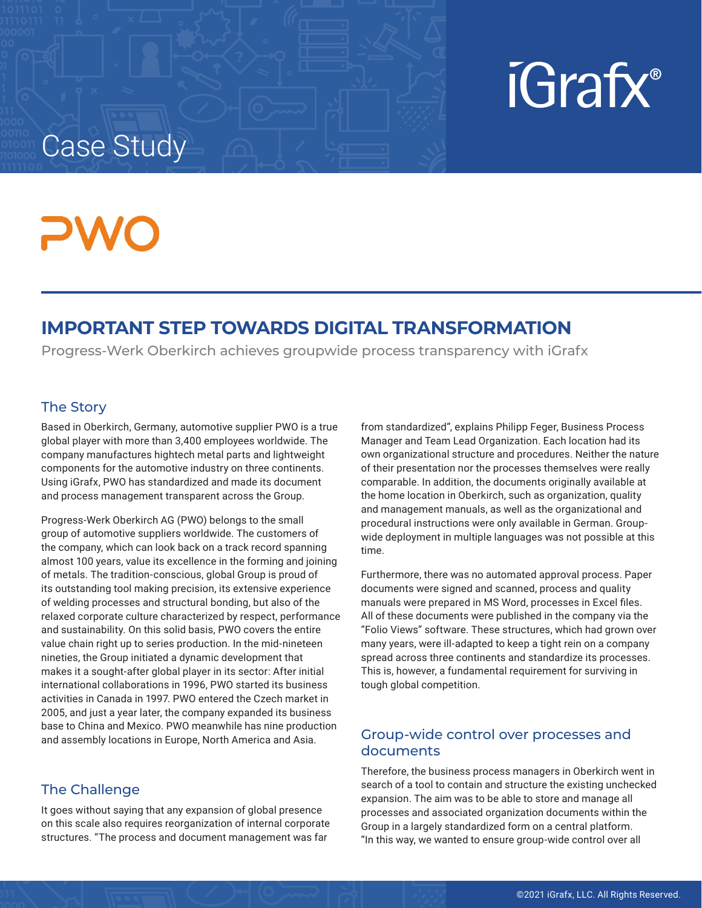# iGrafx<sup>®</sup>

## Case Study

### **IMPORTANT STEP TOWARDS DIGITAL TRANSFORMATION**

Progress-Werk Oberkirch achieves groupwide process transparency with iGrafx

#### The Story

Based in Oberkirch, Germany, automotive supplier PWO is a true global player with more than 3,400 employees worldwide. The company manufactures hightech metal parts and lightweight components for the automotive industry on three continents. Using iGrafx, PWO has standardized and made its document and process management transparent across the Group.

Progress-Werk Oberkirch AG (PWO) belongs to the small group of automotive suppliers worldwide. The customers of the company, which can look back on a track record spanning almost 100 years, value its excellence in the forming and joining of metals. The tradition-conscious, global Group is proud of its outstanding tool making precision, its extensive experience of welding processes and structural bonding, but also of the relaxed corporate culture characterized by respect, performance and sustainability. On this solid basis, PWO covers the entire value chain right up to series production. In the mid-nineteen nineties, the Group initiated a dynamic development that makes it a sought-after global player in its sector: After initial international collaborations in 1996, PWO started its business activities in Canada in 1997. PWO entered the Czech market in 2005, and just a year later, the company expanded its business base to China and Mexico. PWO meanwhile has nine production and assembly locations in Europe, North America and Asia.

#### The Challenge

It goes without saying that any expansion of global presence on this scale also requires reorganization of internal corporate structures. "The process and document management was far

from standardized", explains Philipp Feger, Business Process Manager and Team Lead Organization. Each location had its own organizational structure and procedures. Neither the nature of their presentation nor the processes themselves were really comparable. In addition, the documents originally available at the home location in Oberkirch, such as organization, quality and management manuals, as well as the organizational and procedural instructions were only available in German. Groupwide deployment in multiple languages was not possible at this time.

Furthermore, there was no automated approval process. Paper documents were signed and scanned, process and quality manuals were prepared in MS Word, processes in Excel files. All of these documents were published in the company via the "Folio Views" software. These structures, which had grown over many years, were ill-adapted to keep a tight rein on a company spread across three continents and standardize its processes. This is, however, a fundamental requirement for surviving in tough global competition.

#### Group-wide control over processes and documents

Therefore, the business process managers in Oberkirch went in search of a tool to contain and structure the existing unchecked expansion. The aim was to be able to store and manage all processes and associated organization documents within the Group in a largely standardized form on a central platform. "In this way, we wanted to ensure group-wide control over all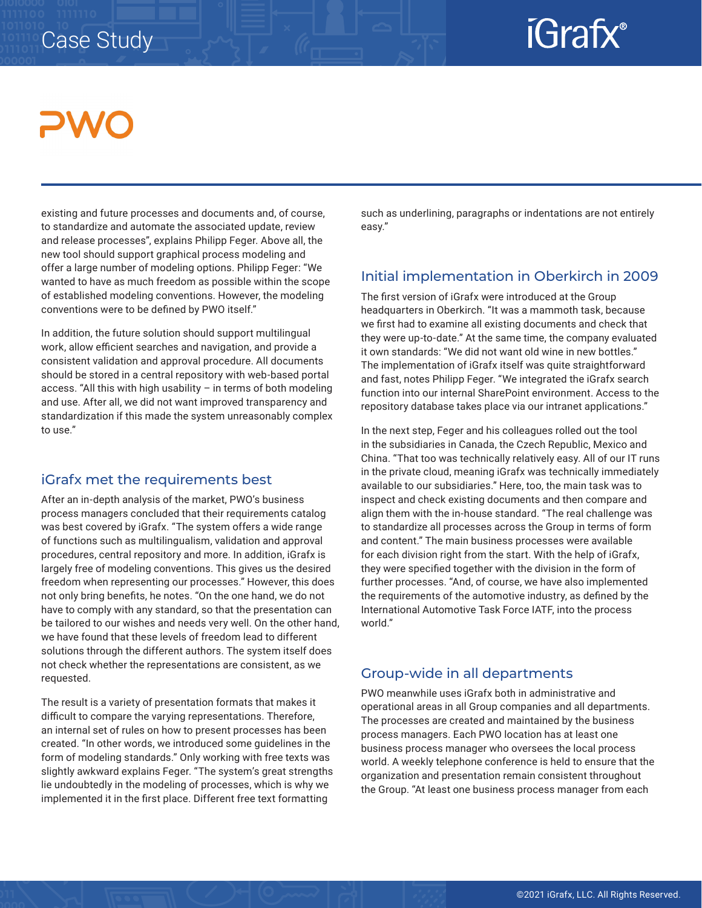### Case Study

## iGrafx®

existing and future processes and documents and, of course, to standardize and automate the associated update, review and release processes", explains Philipp Feger. Above all, the new tool should support graphical process modeling and offer a large number of modeling options. Philipp Feger: "We wanted to have as much freedom as possible within the scope of established modeling conventions. However, the modeling conventions were to be defined by PWO itself."

In addition, the future solution should support multilingual work, allow efficient searches and navigation, and provide a consistent validation and approval procedure. All documents should be stored in a central repository with web-based portal access. "All this with high usability – in terms of both modeling and use. After all, we did not want improved transparency and standardization if this made the system unreasonably complex to use."

#### iGrafx met the requirements best

After an in-depth analysis of the market, PWO's business process managers concluded that their requirements catalog was best covered by iGrafx. "The system offers a wide range of functions such as multilingualism, validation and approval procedures, central repository and more. In addition, iGrafx is largely free of modeling conventions. This gives us the desired freedom when representing our processes." However, this does not only bring benefits, he notes. "On the one hand, we do not have to comply with any standard, so that the presentation can be tailored to our wishes and needs very well. On the other hand, we have found that these levels of freedom lead to different solutions through the different authors. The system itself does not check whether the representations are consistent, as we requested.

The result is a variety of presentation formats that makes it difficult to compare the varying representations. Therefore, an internal set of rules on how to present processes has been created. "In other words, we introduced some guidelines in the form of modeling standards." Only working with free texts was slightly awkward explains Feger. "The system's great strengths lie undoubtedly in the modeling of processes, which is why we implemented it in the first place. Different free text formatting

such as underlining, paragraphs or indentations are not entirely easy."

#### Initial implementation in Oberkirch in 2009

The first version of iGrafx were introduced at the Group headquarters in Oberkirch. "It was a mammoth task, because we first had to examine all existing documents and check that they were up-to-date." At the same time, the company evaluated it own standards: "We did not want old wine in new bottles." The implementation of iGrafx itself was quite straightforward and fast, notes Philipp Feger. "We integrated the iGrafx search function into our internal SharePoint environment. Access to the repository database takes place via our intranet applications."

In the next step, Feger and his colleagues rolled out the tool in the subsidiaries in Canada, the Czech Republic, Mexico and China. "That too was technically relatively easy. All of our IT runs in the private cloud, meaning iGrafx was technically immediately available to our subsidiaries." Here, too, the main task was to inspect and check existing documents and then compare and align them with the in-house standard. "The real challenge was to standardize all processes across the Group in terms of form and content." The main business processes were available for each division right from the start. With the help of iGrafx, they were specified together with the division in the form of further processes. "And, of course, we have also implemented the requirements of the automotive industry, as defined by the International Automotive Task Force IATF, into the process world."

#### Group-wide in all departments

PWO meanwhile uses iGrafx both in administrative and operational areas in all Group companies and all departments. The processes are created and maintained by the business process managers. Each PWO location has at least one business process manager who oversees the local process world. A weekly telephone conference is held to ensure that the organization and presentation remain consistent throughout the Group. "At least one business process manager from each